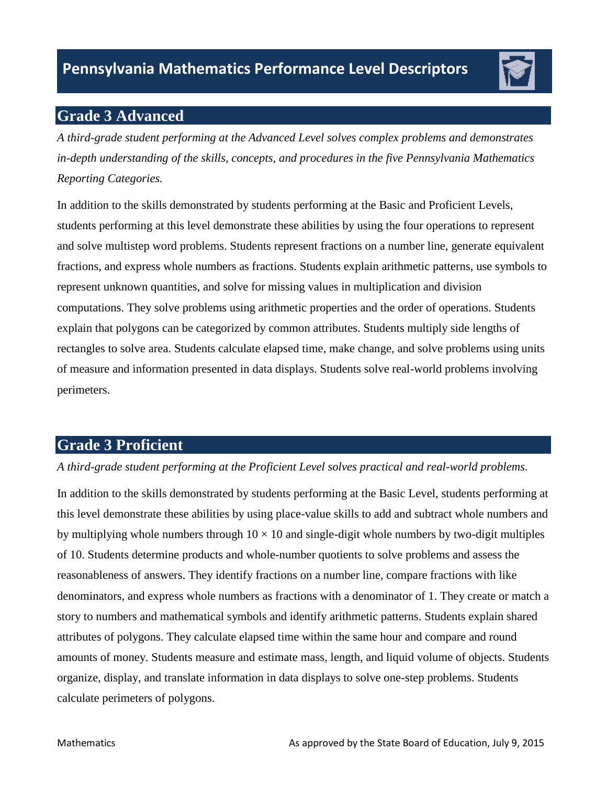

# **Grade 3 Advanced**

*A third-grade student performing at the Advanced Level solves complex problems and demonstrates in-depth understanding of the skills, concepts, and procedures in the five Pennsylvania Mathematics Reporting Categories.* 

 computations. They solve problems using arithmetic properties and the order of operations. Students In addition to the skills demonstrated by students performing at the Basic and Proficient Levels, students performing at this level demonstrate these abilities by using the four operations to represent and solve multistep word problems. Students represent fractions on a number line, generate equivalent fractions, and express whole numbers as fractions. Students explain arithmetic patterns, use symbols to represent unknown quantities, and solve for missing values in multiplication and division explain that polygons can be categorized by common attributes. Students multiply side lengths of rectangles to solve area. Students calculate elapsed time, make change, and solve problems using units of measure and information presented in data displays. Students solve real-world problems involving perimeters.

# **Grade 3 Proficient**

### *A third-grade student performing at the Proficient Level solves practical and real-world problems.*

In addition to the skills demonstrated by students performing at the Basic Level, students performing at this level demonstrate these abilities by using place-value skills to add and subtract whole numbers and by multiplying whole numbers through  $10 \times 10$  and single-digit whole numbers by two-digit multiples of 10. Students determine products and whole-number quotients to solve problems and assess the reasonableness of answers. They identify fractions on a number line, compare fractions with like denominators, and express whole numbers as fractions with a denominator of 1. They create or match a story to numbers and mathematical symbols and identify arithmetic patterns. Students explain shared attributes of polygons. They calculate elapsed time within the same hour and compare and round amounts of money. Students measure and estimate mass, length, and liquid volume of objects. Students organize, display, and translate information in data displays to solve one-step problems. Students calculate perimeters of polygons.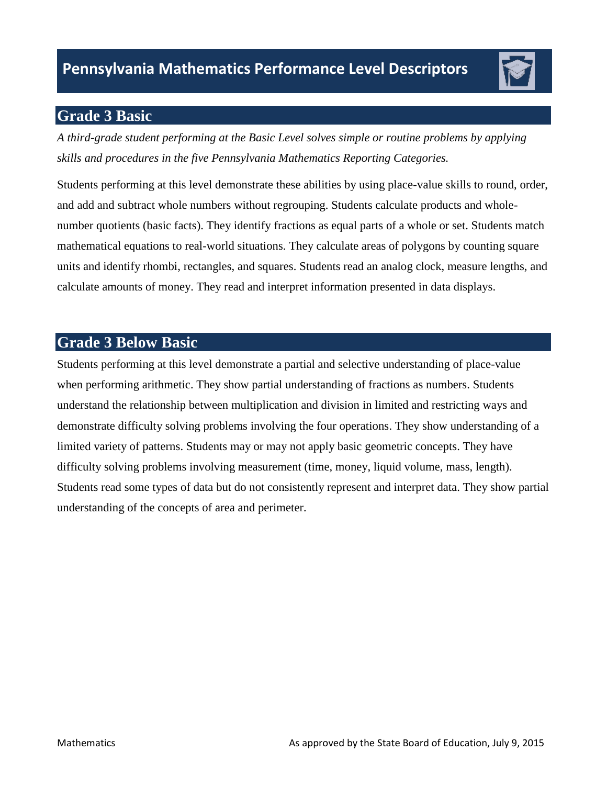# **Grade 3 Basic**

*A third-grade student performing at the Basic Level solves simple or routine problems by applying skills and procedures in the five Pennsylvania Mathematics Reporting Categories.* 

Students performing at this level demonstrate these abilities by using place-value skills to round, order, and add and subtract whole numbers without regrouping. Students calculate products and wholenumber quotients (basic facts). They identify fractions as equal parts of a whole or set. Students match mathematical equations to real-world situations. They calculate areas of polygons by counting square units and identify rhombi, rectangles, and squares. Students read an analog clock, measure lengths, and calculate amounts of money. They read and interpret information presented in data displays.

# **Grade 3 Below Basic**

 when performing arithmetic. They show partial understanding of fractions as numbers. Students demonstrate difficulty solving problems involving the four operations. They show understanding of a limited variety of patterns. Students may or may not apply basic geometric concepts. They have Students read some types of data but do not consistently represent and interpret data. They show partial Students performing at this level demonstrate a partial and selective understanding of place-value understand the relationship between multiplication and division in limited and restricting ways and difficulty solving problems involving measurement (time, money, liquid volume, mass, length). understanding of the concepts of area and perimeter.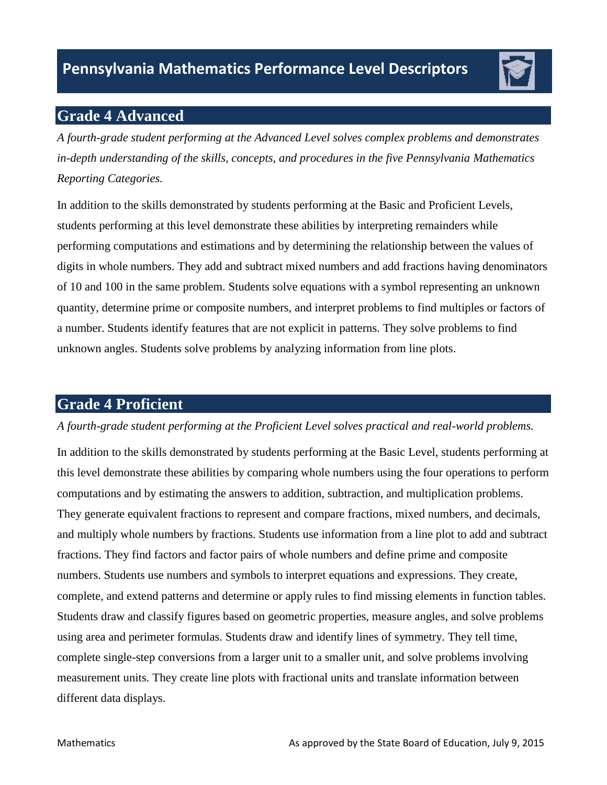

# **Grade 4 Advanced**

*A fourth-grade student performing at the Advanced Level solves complex problems and demonstrates in-depth understanding of the skills, concepts, and procedures in the five Pennsylvania Mathematics Reporting Categories.* 

In addition to the skills demonstrated by students performing at the Basic and Proficient Levels, students performing at this level demonstrate these abilities by interpreting remainders while performing computations and estimations and by determining the relationship between the values of digits in whole numbers. They add and subtract mixed numbers and add fractions having denominators of 10 and 100 in the same problem. Students solve equations with a symbol representing an unknown quantity, determine prime or composite numbers, and interpret problems to find multiples or factors of a number. Students identify features that are not explicit in patterns. They solve problems to find unknown angles. Students solve problems by analyzing information from line plots.

# **Grade 4 Proficient**

### *A fourth-grade student performing at the Proficient Level solves practical and real-world problems.*

In addition to the skills demonstrated by students performing at the Basic Level, students performing at this level demonstrate these abilities by comparing whole numbers using the four operations to perform computations and by estimating the answers to addition, subtraction, and multiplication problems. They generate equivalent fractions to represent and compare fractions, mixed numbers, and decimals, and multiply whole numbers by fractions. Students use information from a line plot to add and subtract fractions. They find factors and factor pairs of whole numbers and define prime and composite numbers. Students use numbers and symbols to interpret equations and expressions. They create, complete, and extend patterns and determine or apply rules to find missing elements in function tables. Students draw and classify figures based on geometric properties, measure angles, and solve problems using area and perimeter formulas. Students draw and identify lines of symmetry. They tell time, complete single-step conversions from a larger unit to a smaller unit, and solve problems involving measurement units. They create line plots with fractional units and translate information between different data displays.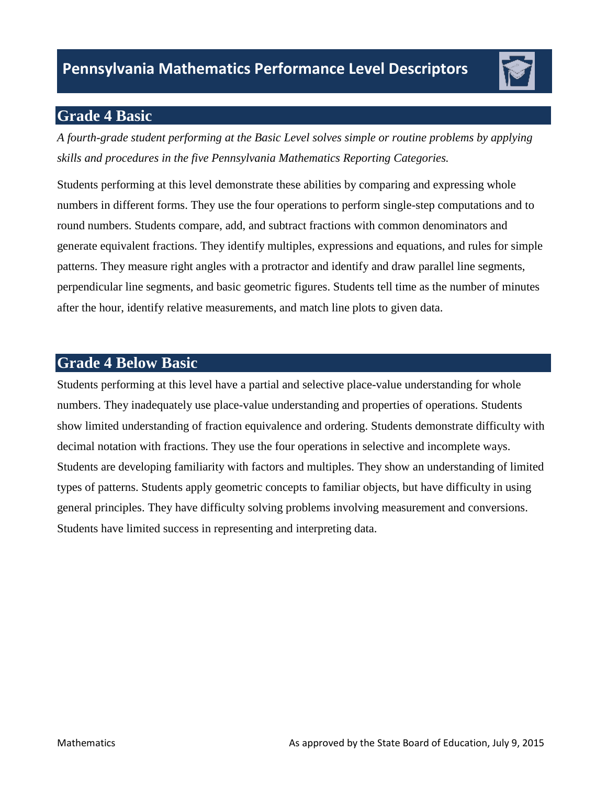# **Grade 4 Basic**

*A fourth-grade student performing at the Basic Level solves simple or routine problems by applying skills and procedures in the five Pennsylvania Mathematics Reporting Categories.* 

Students performing at this level demonstrate these abilities by comparing and expressing whole numbers in different forms. They use the four operations to perform single-step computations and to round numbers. Students compare, add, and subtract fractions with common denominators and generate equivalent fractions. They identify multiples, expressions and equations, and rules for simple patterns. They measure right angles with a protractor and identify and draw parallel line segments, perpendicular line segments, and basic geometric figures. Students tell time as the number of minutes after the hour, identify relative measurements, and match line plots to given data.

## **Grade 4 Below Basic**

 numbers. They inadequately use place-value understanding and properties of operations. Students decimal notation with fractions. They use the four operations in selective and incomplete ways. Students are developing familiarity with factors and multiples. They show an understanding of limited types of patterns. Students apply geometric concepts to familiar objects, but have difficulty in using general principles. They have difficulty solving problems involving measurement and conversions. Students have limited success in representing and interpreting data. Students performing at this level have a partial and selective place-value understanding for whole show limited understanding of fraction equivalence and ordering. Students demonstrate difficulty with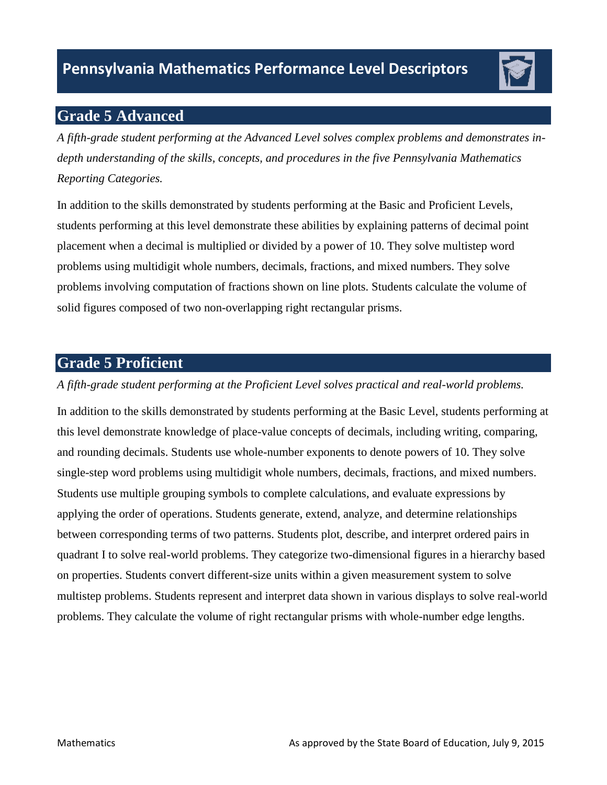# **Grade 5 Advanced**

*A fifth-grade student performing at the Advanced Level solves complex problems and demonstrates indepth understanding of the skills, concepts, and procedures in the five Pennsylvania Mathematics Reporting Categories.* 

In addition to the skills demonstrated by students performing at the Basic and Proficient Levels, students performing at this level demonstrate these abilities by explaining patterns of decimal point placement when a decimal is multiplied or divided by a power of 10. They solve multistep word problems using multidigit whole numbers, decimals, fractions, and mixed numbers. They solve problems involving computation of fractions shown on line plots. Students calculate the volume of solid figures composed of two non-overlapping right rectangular prisms.

## **Grade 5 Proficient**

### *A fifth-grade student performing at the Proficient Level solves practical and real-world problems.*

In addition to the skills demonstrated by students performing at the Basic Level, students performing at this level demonstrate knowledge of place-value concepts of decimals, including writing, comparing, and rounding decimals. Students use whole-number exponents to denote powers of 10. They solve single-step word problems using multidigit whole numbers, decimals, fractions, and mixed numbers. Students use multiple grouping symbols to complete calculations, and evaluate expressions by applying the order of operations. Students generate, extend, analyze, and determine relationships between corresponding terms of two patterns. Students plot, describe, and interpret ordered pairs in quadrant I to solve real-world problems. They categorize two-dimensional figures in a hierarchy based on properties. Students convert different-size units within a given measurement system to solve multistep problems. Students represent and interpret data shown in various displays to solve real-world problems. They calculate the volume of right rectangular prisms with whole-number edge lengths.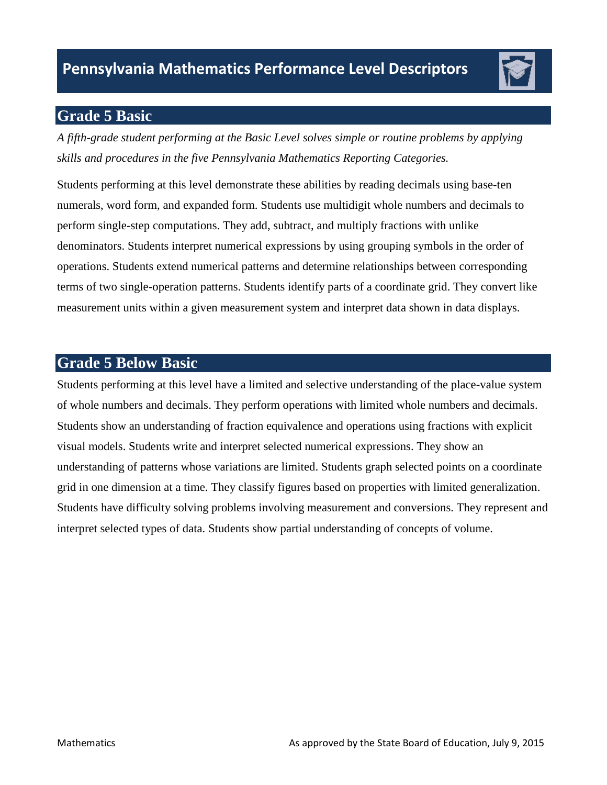# **Grade 5 Basic**

*A fifth-grade student performing at the Basic Level solves simple or routine problems by applying skills and procedures in the five Pennsylvania Mathematics Reporting Categories.* 

 terms of two single-operation patterns. Students identify parts of a coordinate grid. They convert like Students performing at this level demonstrate these abilities by reading decimals using base-ten numerals, word form, and expanded form. Students use multidigit whole numbers and decimals to perform single-step computations. They add, subtract, and multiply fractions with unlike denominators. Students interpret numerical expressions by using grouping symbols in the order of operations. Students extend numerical patterns and determine relationships between corresponding measurement units within a given measurement system and interpret data shown in data displays.

## **Grade 5 Below Basic**

 of whole numbers and decimals. They perform operations with limited whole numbers and decimals. visual models. Students write and interpret selected numerical expressions. They show an Students have difficulty solving problems involving measurement and conversions. They represent and Students performing at this level have a limited and selective understanding of the place-value system Students show an understanding of fraction equivalence and operations using fractions with explicit understanding of patterns whose variations are limited. Students graph selected points on a coordinate grid in one dimension at a time. They classify figures based on properties with limited generalization. interpret selected types of data. Students show partial understanding of concepts of volume.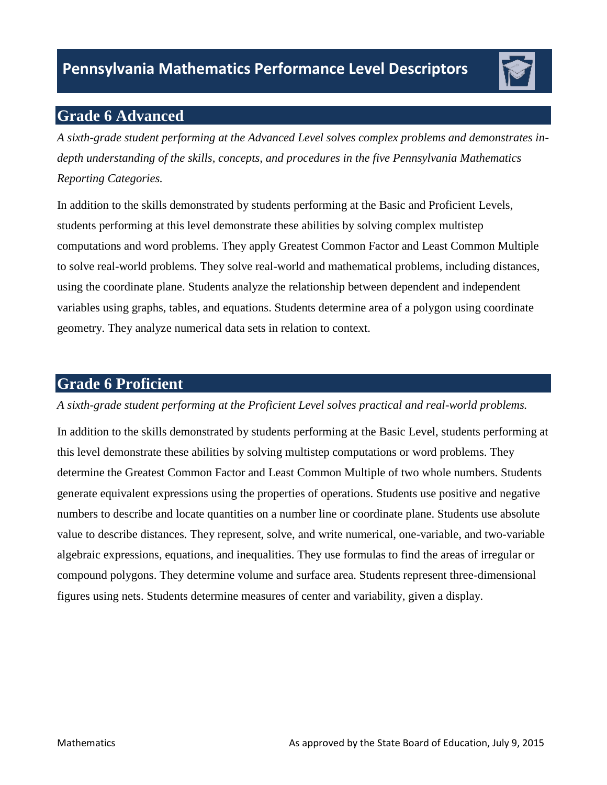

# **Grade 6 Advanced**

*A sixth-grade student performing at the Advanced Level solves complex problems and demonstrates indepth understanding of the skills, concepts, and procedures in the five Pennsylvania Mathematics Reporting Categories.* 

 geometry. They analyze numerical data sets in relation to context. In addition to the skills demonstrated by students performing at the Basic and Proficient Levels, students performing at this level demonstrate these abilities by solving complex multistep computations and word problems. They apply Greatest Common Factor and Least Common Multiple to solve real-world problems. They solve real-world and mathematical problems, including distances, using the coordinate plane. Students analyze the relationship between dependent and independent variables using graphs, tables, and equations. Students determine area of a polygon using coordinate

## **Grade 6 Proficient**

### *A sixth-grade student performing at the Proficient Level solves practical and real-world problems.*

In addition to the skills demonstrated by students performing at the Basic Level, students performing at this level demonstrate these abilities by solving multistep computations or word problems. They determine the Greatest Common Factor and Least Common Multiple of two whole numbers. Students generate equivalent expressions using the properties of operations. Students use positive and negative numbers to describe and locate quantities on a number line or coordinate plane. Students use absolute value to describe distances. They represent, solve, and write numerical, one-variable, and two-variable algebraic expressions, equations, and inequalities. They use formulas to find the areas of irregular or compound polygons. They determine volume and surface area. Students represent three-dimensional figures using nets. Students determine measures of center and variability, given a display.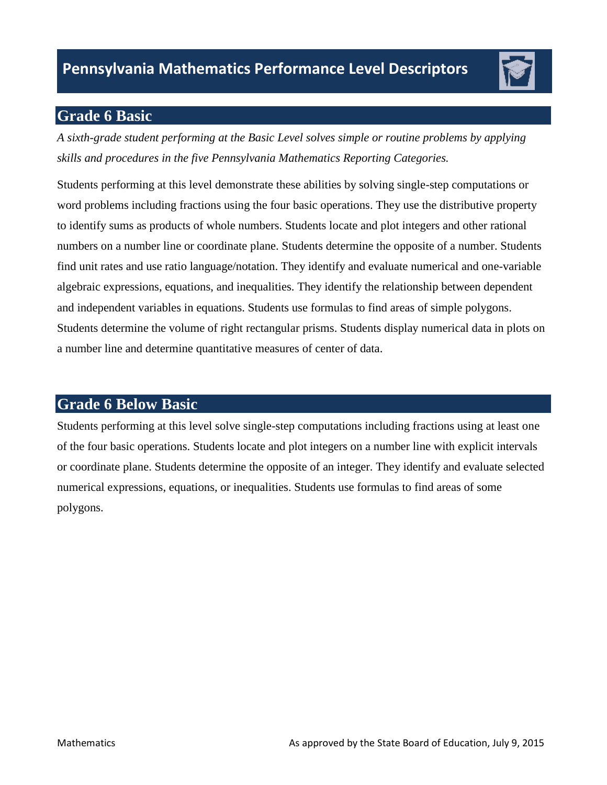# **Grade 6 Basic**

*A sixth-grade student performing at the Basic Level solves simple or routine problems by applying skills and procedures in the five Pennsylvania Mathematics Reporting Categories.* 

Students performing at this level demonstrate these abilities by solving single-step computations or word problems including fractions using the four basic operations. They use the distributive property to identify sums as products of whole numbers. Students locate and plot integers and other rational numbers on a number line or coordinate plane. Students determine the opposite of a number. Students find unit rates and use ratio language/notation. They identify and evaluate numerical and one-variable algebraic expressions, equations, and inequalities. They identify the relationship between dependent and independent variables in equations. Students use formulas to find areas of simple polygons. Students determine the volume of right rectangular prisms. Students display numerical data in plots on a number line and determine quantitative measures of center of data.

# **Grade 6 Below Basic**

 Students performing at this level solve single-step computations including fractions using at least one of the four basic operations. Students locate and plot integers on a number line with explicit intervals or coordinate plane. Students determine the opposite of an integer. They identify and evaluate selected numerical expressions, equations, or inequalities. Students use formulas to find areas of some polygons.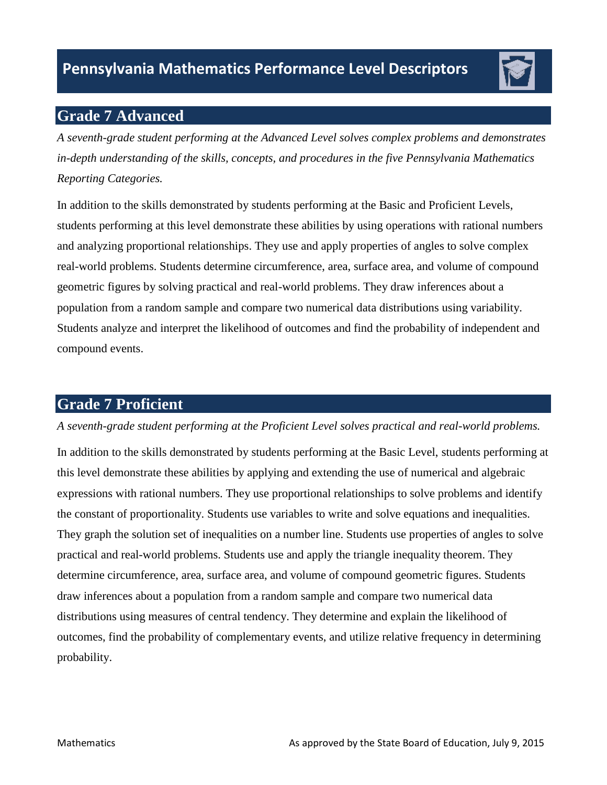# **Grade 7 Advanced**

*A seventh-grade student performing at the Advanced Level solves complex problems and demonstrates in-depth understanding of the skills, concepts, and procedures in the five Pennsylvania Mathematics Reporting Categories.* 

In addition to the skills demonstrated by students performing at the Basic and Proficient Levels, students performing at this level demonstrate these abilities by using operations with rational numbers and analyzing proportional relationships. They use and apply properties of angles to solve complex real-world problems. Students determine circumference, area, surface area, and volume of compound geometric figures by solving practical and real-world problems. They draw inferences about a population from a random sample and compare two numerical data distributions using variability. Students analyze and interpret the likelihood of outcomes and find the probability of independent and compound events.

# **Grade 7 Proficient**

### *A seventh-grade student performing at the Proficient Level solves practical and real-world problems.*

 this level demonstrate these abilities by applying and extending the use of numerical and algebraic In addition to the skills demonstrated by students performing at the Basic Level, students performing at expressions with rational numbers. They use proportional relationships to solve problems and identify the constant of proportionality. Students use variables to write and solve equations and inequalities. They graph the solution set of inequalities on a number line. Students use properties of angles to solve practical and real-world problems. Students use and apply the triangle inequality theorem. They determine circumference, area, surface area, and volume of compound geometric figures. Students draw inferences about a population from a random sample and compare two numerical data distributions using measures of central tendency. They determine and explain the likelihood of outcomes, find the probability of complementary events, and utilize relative frequency in determining probability.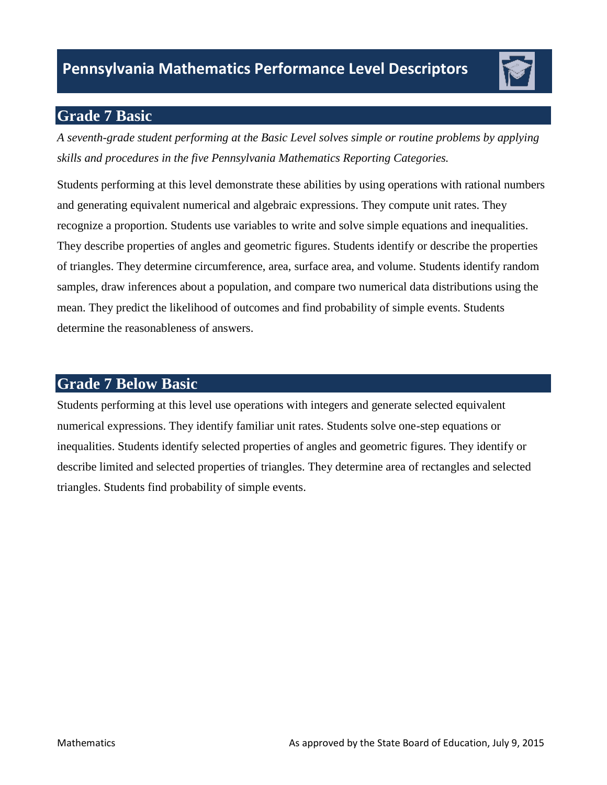# **Grade 7 Basic**

*A seventh-grade student performing at the Basic Level solves simple or routine problems by applying skills and procedures in the five Pennsylvania Mathematics Reporting Categories.* 

Students performing at this level demonstrate these abilities by using operations with rational numbers and generating equivalent numerical and algebraic expressions. They compute unit rates. They recognize a proportion. Students use variables to write and solve simple equations and inequalities. They describe properties of angles and geometric figures. Students identify or describe the properties of triangles. They determine circumference, area, surface area, and volume. Students identify random samples, draw inferences about a population, and compare two numerical data distributions using the mean. They predict the likelihood of outcomes and find probability of simple events. Students determine the reasonableness of answers.

## **Grade 7 Below Basic**

Students performing at this level use operations with integers and generate selected equivalent numerical expressions. They identify familiar unit rates. Students solve one-step equations or inequalities. Students identify selected properties of angles and geometric figures. They identify or describe limited and selected properties of triangles. They determine area of rectangles and selected triangles. Students find probability of simple events.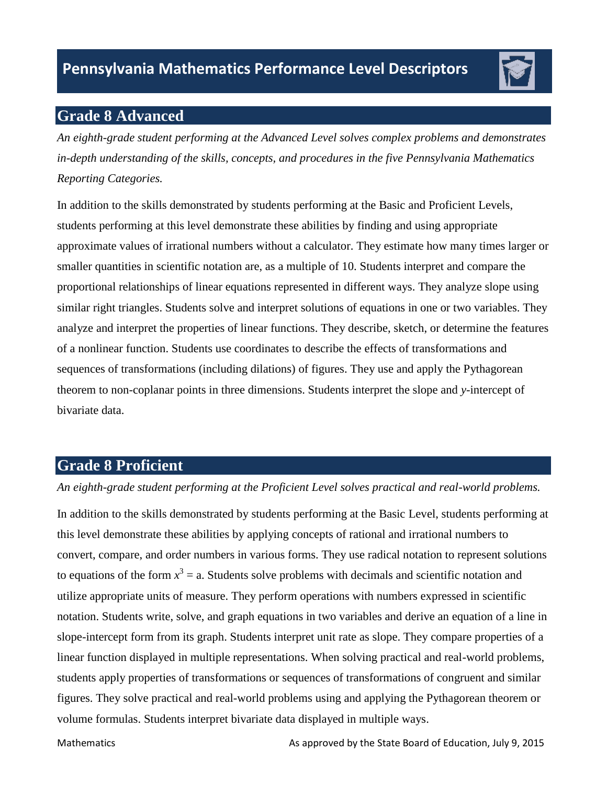

# **Grade 8 Advanced**

*An eighth-grade student performing at the Advanced Level solves complex problems and demonstrates in-depth understanding of the skills, concepts, and procedures in the five Pennsylvania Mathematics Reporting Categories.* 

In addition to the skills demonstrated by students performing at the Basic and Proficient Levels, students performing at this level demonstrate these abilities by finding and using appropriate approximate values of irrational numbers without a calculator. They estimate how many times larger or smaller quantities in scientific notation are, as a multiple of 10. Students interpret and compare the proportional relationships of linear equations represented in different ways. They analyze slope using similar right triangles. Students solve and interpret solutions of equations in one or two variables. They analyze and interpret the properties of linear functions. They describe, sketch, or determine the features of a nonlinear function. Students use coordinates to describe the effects of transformations and sequences of transformations (including dilations) of figures. They use and apply the Pythagorean theorem to non-coplanar points in three dimensions. Students interpret the slope and *y*-intercept of bivariate data.

# **Grade 8 Proficient**

### *An eighth-grade student performing at the Proficient Level solves practical and real-world problems.*

 In addition to the skills demonstrated by students performing at the Basic Level, students performing at this level demonstrate these abilities by applying concepts of rational and irrational numbers to convert, compare, and order numbers in various forms. They use radical notation to represent solutions to equations of the form  $x^3 = a$ . Students solve problems with decimals and scientific notation and utilize appropriate units of measure. They perform operations with numbers expressed in scientific notation. Students write, solve, and graph equations in two variables and derive an equation of a line in slope-intercept form from its graph. Students interpret unit rate as slope. They compare properties of a linear function displayed in multiple representations. When solving practical and real-world problems, students apply properties of transformations or sequences of transformations of congruent and similar figures. They solve practical and real-world problems using and applying the Pythagorean theorem or volume formulas. Students interpret bivariate data displayed in multiple ways.